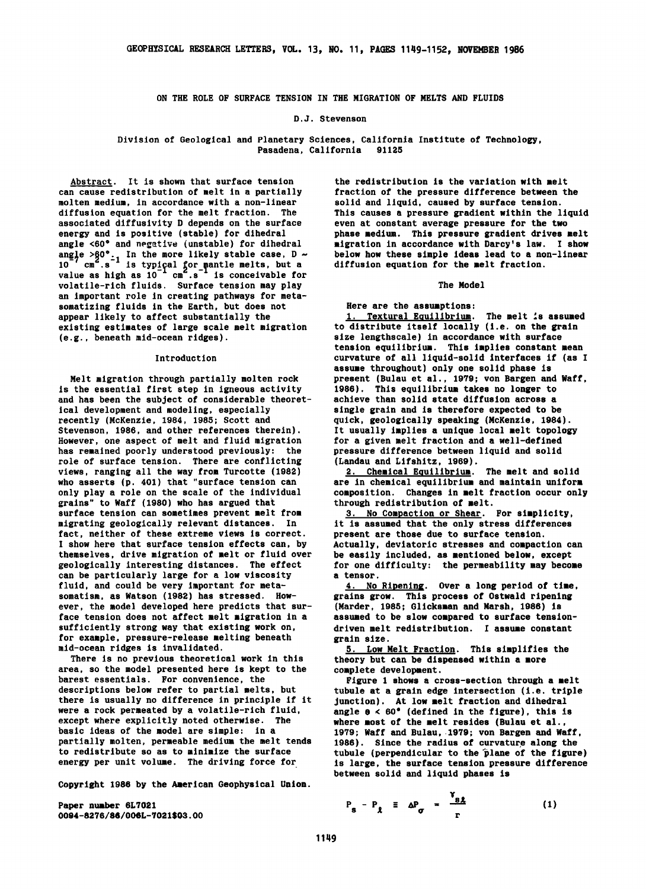**ON THE ROLE OF SURFACE TENSION IN THE MIGRATION OF MELTS AND FLUIDS** 

### **D.J. Stevenson**

**Division of Geological and Planetary Sciences, California Institute of Technology, Pasadena, California 91125** 

**Abstract. It is shown that surface tension can cause redistribution of melt in a partially molten medium, in accordance with a non-linear diffusion equation for the melt fraction. The associated diffusivity D depends on the surface energy and is positive (stable) for dihedral angle <60 ø and negative (unstable) for dihedral**  angle >90°<sub>r</sub> In the more likely stable case, D ~<br>10<sup>7</sup> cm<sup>2</sup> e<sup>-1</sup> is tupical for mantle melts, but a 10 cm .s is typical for mantle melts, but a<br>value as high as 10 cm<sup>2</sup>.s<sup>-1</sup> is conceivable for **volatile-rich fluids. Surface tension may play an important role in creating pathways for metasomatizing fluids in the Earth, but does not appear likely to affect substantiaily the existing estimates of large scale melt migration (e.g., beneath mid-ocean ridges).** 

## **Introduction**

**Melt migration through partially molten rock is the essential first step in igneous activity and has been the subject of considerable theoretical development and modeling, especially recently (McKenzie, 1984, 1985; Scott and Stevenson, 1986, and other references therein). However, one aspect of melt and fluid migration has remained poorly understood previously: the role of surface tension. There are conflicting views, ranging all the way from Turcotte (1982) who asserts (p. 401) that "surface tension can only play a role on the scale of the individual grains" to Waff (1980) who has argued that surface tension can sometimes prevent melt from migrating geologically relevant distances. In fact, neither of these extreme views is correct. I show here that surface tension effects can, by themselves, drive migration of melt or fluid over geologically interesting distances. The effect can be particularly large for a low viscosity fluid, and could be very important for metasomatism, as Watson (1982) has stressed. However, the model developed here predicts that surface tension does not affect melt migration in a sufficiently strong way that existing work on, for example, pressure-release melting beneath mid-ocean ridges is invalidated.** 

**There is no previous theoretical work in this area, so the model presented here is kept to the barest essentials. For convenience, the descriptions below refer to partial melts, but there is usually no difference in principle if it were a rock permeated by a volatile-rich fluid, except where explicitly noted otherwise. The basic ideas of the model are simple: in a partially molten, permeable medium the melt tends to redistribute so as to minimize the surface energy per unit volume. The driving force for** 

**Copyright 1986 by the American Geophysical Union.** 

**Paper number 6L7021**  0094-8276/86/006L-7021\$03.00

the redistribution is the variation with melt **fraction of the pressure difference between the solid and liquid, caused by surface tension. This causes a pressure gradient within the liquid even at constant average pressure for the two phase medium. This pressure gradient drives melt migration in accordance with Darcy's law. I show below how these simple ideas lead to a non-linear diffusion equation for the melt fraction.** 

# **The Model**

**Here are the assumptions:** 

**1. Textural Equilibrium. The melt is assumed to distribute itself locally (i.e. on the grain size lengthscale) in accordance with surface tension equilibrium. This implies constant mean curvature of all liquid-solid interfaces if (as I assume throughout) only one solid phase is present (Bulau et al., 1979; yon Bargen and Waff, 1986). This equilibrium takes no longer to achieve than solid state diffusion across a single grain and is therefore expected to be quick, geologically speaking (McKenzie, 1984). It usually implies a unique local melt topology for a given melt fraction and a well-defined pressure difference between liquid and solid (Landau and Llfshitz, 1969).** 

**2. Chemical Equilibrium. The melt and solid are in chemical equilibrium and maintain uniform composition. Changes in melt fraction occur only through redistribution of melt.** 

**3. No Compaction or Shear. For simplicity, it is assumed that the only stress differences present are those due to surface tension. Actually, deviatoric stresses and compaction can be easily included, as mentioned below, except for one difficulty: the permeability may become a tensor.** 

**4.** No Ripening. Over a long period of time, **grains grow. This process of Ostwald ripentng (Marder, 1985; 6licksman and Marsh, 1986) is assumed to be slow compared to surface tensiondriven melt redistribution. I assume constant grain size.** 

**.5..Low Melt Fraction. This simplifies the theory but can be dispensed within a more complete development.** 

**Figure I shows a cross-section through a melt tubule at a grain edge intersection (i.e. triple Junction). At low melt fraction and dihedral angle e < 60\* (defined in the figure), this is where most of the melt resides (Bulau et al.,**  1979; Waff and Bulau, 1979; von Bargen and Waff, 1986). Since the radius of curvature along the tubule (perpendicular to the plane of the figure) **is large, the surface tension pressure difference between solid and liquid phases is** 

$$
P_{s} - P_{\lambda} \equiv \Delta P_{\sigma} = \frac{Y_{s\lambda}}{r}
$$
 (1)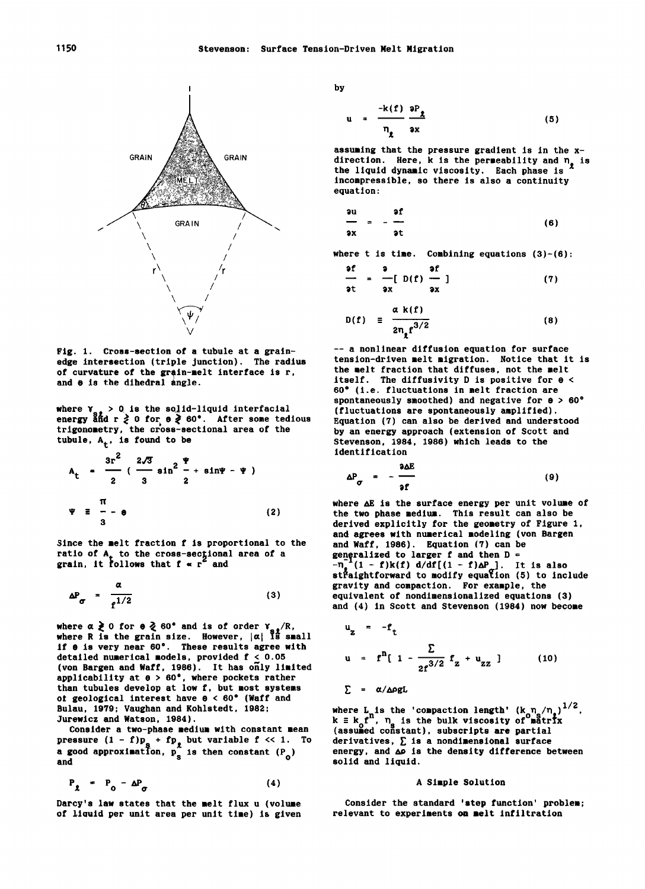

**Fig. 1. Cross-section of a tubule at a grainedge intersection (triple junction). The radius**  of curvature of the grain-melt interface is r, **and 8 is the dihedral angle.** 

**where Y<sub>s</sub>, > 0 is the solid-liquid interfacial energy and r ≥ 0 for e ≥ 60°. After some tedious**<br>trigonometry, the cross-sectional area of the tubule,  $A_t$ , is found to be

$$
A_{t} = \frac{3r^{2}}{2} \left( \frac{2\sqrt{3}}{3} \sin^{2} \frac{\Psi}{2} + \sin \Psi - \Psi \right)
$$
\n
$$
\pi
$$
\n
$$
\Psi \equiv -\Theta
$$
\n(2)

**Since the melt fraction f is proportional to the**  ratio of A<sub>r</sub> to the cross-sectional area of a<br>grain, it follows that f « r<sup>\*</sup> and

$$
\Delta P_{\sigma} = \frac{\alpha}{f^{1/2}}
$$
 (3)

**where**  $\alpha \ge 0$  **for**  $\theta \ge 60^{\circ}$  **and is of order**  $Y_{s} / R$ **, where R is the grain size. However,**  $|\alpha|$  **is small** if  $\theta$  is very near 60°. These results agree with **detailed numerical models, provided f < 0.05**  (von Bargen and Waff, 1986). It has only limited **applicability at e > 60 ø , where pockets rather than tubules develop at low f, but most systems ot geological interest have e < 60 ø (Waff and Bulau, 1979; Vaughan and Kohlstedt, 1982; Jurewicz and Watson, 1984).** 

**Consider a two-phase medium with constant mean pressure (1 - 1)P<sub>s</sub> + 1P<sub>l</sub> but variable f << 1. To <br><b>a good approximation, p**<sub>s</sub> is then constant (P<sub>0</sub>) and **and** 

$$
P_{\chi} = P_0 - \Delta P_{\sigma} \tag{4}
$$

**Darcy's law states that the melt flux u (volume**  of liquid per unit area per unit time) is given **by** 

$$
u = \frac{-k(f)}{n_e} \frac{\partial P_{\chi}}{\partial x}
$$
 (5)

**assuming that the pressure gradient is in the x**direction. Here, k is the permeability and n<sub>g</sub> is **the liquid dynamic viscosity. Each phase is incompressible, so there is also a continuity equat i on:** 

$$
\frac{\partial u}{\partial x} = -\frac{\partial f}{\partial t}
$$
 (6)

**where t is time. Combining equations (3)-(6)-** 

$$
\begin{array}{ll}\n\text{if} & \text{if} \\
\frac{1}{2} & = \frac{1}{2} \left[ \begin{array}{cc} D(f) & \frac{1}{2} \\ D(f) & \frac{1}{2} \end{array} \right]\n\end{array} \tag{7}
$$

$$
D(f) = \frac{\alpha k(f)}{2n_f f^{3/2}}
$$
 (8)

**-- a nonlinear diffusion equation for surface tension-driven melt migration. Notice that it is the melt fraction that diffuses, not the melt**  itself. The diffusivity  $D$  is positive for  $\theta <$ **60 ø (i.e. fluctuations in melt fraction are spontaneously smoothed) and negative for e > 60 ø (fluctuations are spontaneously amplified). Equation (7) can also be derived and understood by an energy approach (extension of Scott and Stevenson, 1984, 1986) which leads to the Identification** 

$$
\Delta P_{\sigma} = -\frac{\partial \Delta E}{\partial f} \tag{9}
$$

**where AE Is the surface energy per unit volume of the two phase medium. This result can also be derived explicitly for the geometry of Figure 1, and agrees with numerical modeling (von Bargen**  and Waff, 1986). Equation (7) can be **generalized to larger f and then D =**   $-\eta_1^{\bullet}(1-f)k(f) d/df[(1-f)\Delta P_{\sigma}].$  It is also **straightforward to modify equation (5) to Include gravity and compaction. For example, the equivalent of nondimensionalized equations (3) and (4) in Scott and Stevenson (1984) now become** 

$$
u_{z} = -f_{t}
$$
  

$$
u = f^{n}[1 - \frac{\Sigma}{2f^{3/2}} f_{z} + u_{zz}]
$$
 (10)

$$
\Sigma = \alpha/\Delta \rho g L
$$

**where L is the 'compaction length'**  $(k_0 \eta_s)^{1/2}$ **,**<br> $k \equiv k_0 t^n$ ,  $n_a$  is the bulk viscosity of matrix (assumed constant), subscripts are partial **derivatives, • is a nondimensional surface energy, and ho Is the density difference between solid and liquid.** 

#### **A Simple Solution**

**Consider the standard 'step function' problem; relevant to experiments on melt Infiltration**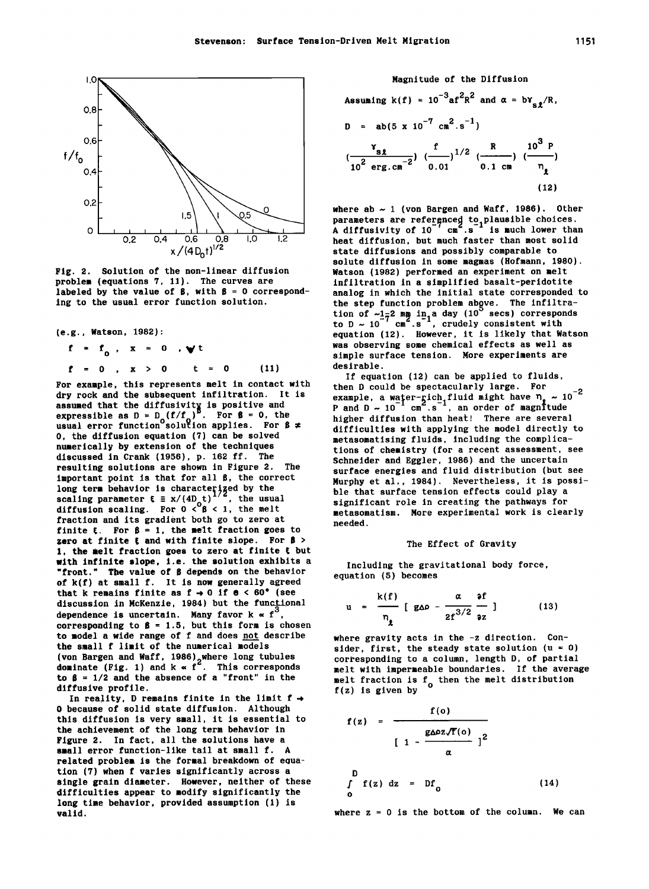

**Fig. 2. Solution of the non-linear diffusion problem (equations 7, 11). The curves are labeled by the value of B, with B = 0 corresponding to the usual error function solution.** 

**(e.g., Watson, 1982):** 

$$
f = f_0
$$
,  $x = 0$ ,  $\forall$   
 $f = 0$ ,  $x > 0$   $t = 0$  (11)

**For example, this represents melt in contact with dry rock and the subsequent infiItration. It is assumed that the diffusivity is positive and expressible as D = D (f/f )<sup>B</sup>. For β = 0, the <br>usual error function solution applies. For β ≠ O, the diffusion equation (7) can be solved numerically by extension of the techniques discussed in Crank (1956), p. 162 fl. The resulting solutions are shown in Figure 2. The**  important point is that for all  $\beta$ , the correct **long term behavior is characterized by the scaling parameter**  $\mathbf{t} \equiv x/(4\mathbf{b} \cdot \mathbf{t})^2$ **, the usual diffusion scaling. For**  $0 < 9 \le 1$ **, the melt fraction and its gradient both go to zero at**  finite  $\xi$ . For  $\beta = 1$ , the melt fraction goes to zero at finite  $\mathfrak k$  and with finite slope. For  $\mathfrak s$  > **1, the melt fraciion goes to zero at finite f but with infinite slope, i.e. the solution exhibits a "front." The value of B depends on the behavior of k(f) at small f. It is now generally agreed**  that k remains finite as  $f \rightarrow 0$  if  $e < 60^{\circ}$  (see discussion in McKenzie, 1984) but the functional dependence is uncertain. Many favor  $k \propto f$ corresponding to  $\beta = 1.5$ , but this form is chosen **to model a wide range of f and does not describe the small f limit of the numerical models (yon Bargen and Wall, 1986)\_where long tubules dominate (Fig. 1) and k • f2. This corresponds**  to  $\beta = 1/2$  and the absence of a "front" in the **diffusive profile.** 

**In reality, D remains finite in the limit f • O** because of solid state diffusion. Although **this diffusion is very small, it is essential to the achievement of the long term behavior in Figure 2. In fact, all the solutions have a small error function-like tail at small f. A related problem is the formal breakdown of eouation (7) when f varies significantly across a single grain diameter. However, neither of these difficulties appear to modify significantly the long time behavior, provided assumption (1) is valid,** 

**Magnitude of the Diffusion**  Assuming  $k(f) = 10^{-3}af^2R^2$  and  $\alpha = by_{g}R$ ,  $D = ab(5 \times 10^{-7} \text{ cm}^2 \text{ s}^{-1})$  $Y_{\text{e}}$ **, f** 1/2 R 10<sup>3</sup> P  $(\frac{3x}{10^2 \text{ erg.cm}^{-2}})$   $(\frac{1}{2})^{1/2}$   $(\frac{1}{0.1 \text{ cm}})$   $(\frac{1}{2})$ **(12)** 

**where ab ~ 1 (von Bargen and Waff, 1986). Other**  parameters are referenced to plausible choices.<br>A diffusivity of 10 cm .s is much lower than **heat diffusion, but much faster than most solid state diffusions and possibly comparable to**  solute diffusion in some magmas (Hofmann, 1980). **Watson (1982) performed an experiment on melt infiltration in a simplified basalt-perldotite analog in which the initial state corresponded to the step function problem above. The infiltra**tion of ~1–<sup>2</sup> mm in<sub>-1</sub> a day (10 secs) corresponds<br>to D ~ 10<sup>-7</sup> cm<sup>2</sup>.s<sup>-1</sup>, crudely consistent with **equation (12). However, it is likely that Watson was observing some chemical effects as well as simple surface tension. More experiments are desirable.** 

**If equation (12) can be applied to fluids, then D could be spectacularly large. For -2 example, a water-rich fluid might have**  $\eta_{\rho} \sim 10$ **<br>P and D ~ 10**  $^{-1}$  **cm**  $\cdot$  **s**  $^{-1}$ **, an order of magnitude higher diffusion than heat! There are several difficulties with applying the model directly to metasomatising fluids, including the complications of chemistry (for a recent assessment, see Schneider and Egglet, 1986) and the uncertain surface energies and fluid distribution (but see Murphy et al., 1984). Nevertheless, it is possible that surface tension effects could play a significant role in creating the pathways for metasomatism. More experimental work is clearly needed.** 

# **The Effect of Gravity**

**Including the gravitational body force, equation (5) becomes** 

$$
u = \frac{k(f)}{n_{g}} [g\Delta\rho - \frac{\alpha}{2f^{3/2}} \frac{\partial f}{\partial z}]
$$
 (13)

**where gravity acts in the -z direction. Con**sider, first, the steady state solution  $(u = 0)$ **corresponding to a column, length D, of partial melt with impermeable boundaries. If the average melt fraction is f<sub>o</sub> then the melt distribution f(z) is given by** 

$$
f(z) = \frac{f(o)}{\left[1 - \frac{g\Delta\rho z \sqrt{f}(o)}{\alpha}\right]^2}
$$
  

$$
\int_{0}^{D} f(z) dz = Df_o
$$
 (14)

where  $z = 0$  is the bottom of the column. We can